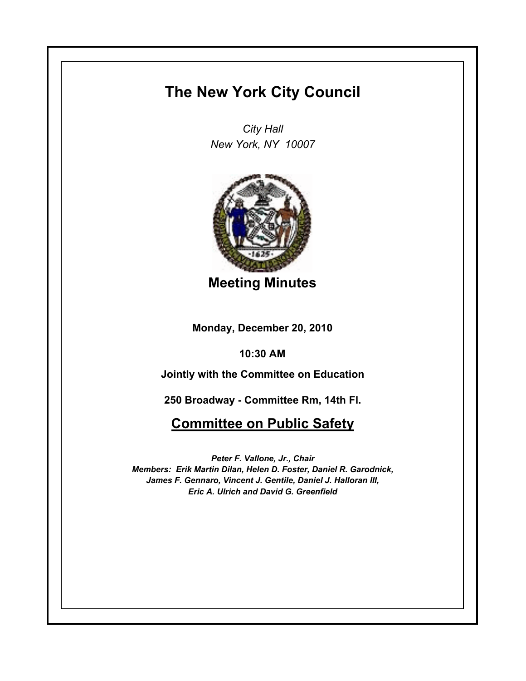## **The New York City Council**

*City Hall New York, NY 10007*



**Meeting Minutes**

**Monday, December 20, 2010**

**10:30 AM**

**Jointly with the Committee on Education**

**250 Broadway - Committee Rm, 14th Fl.**

## **Committee on Public Safety**

*Peter F. Vallone, Jr., Chair Members: Erik Martin Dilan, Helen D. Foster, Daniel R. Garodnick, James F. Gennaro, Vincent J. Gentile, Daniel J. Halloran III, Eric A. Ulrich and David G. Greenfield*